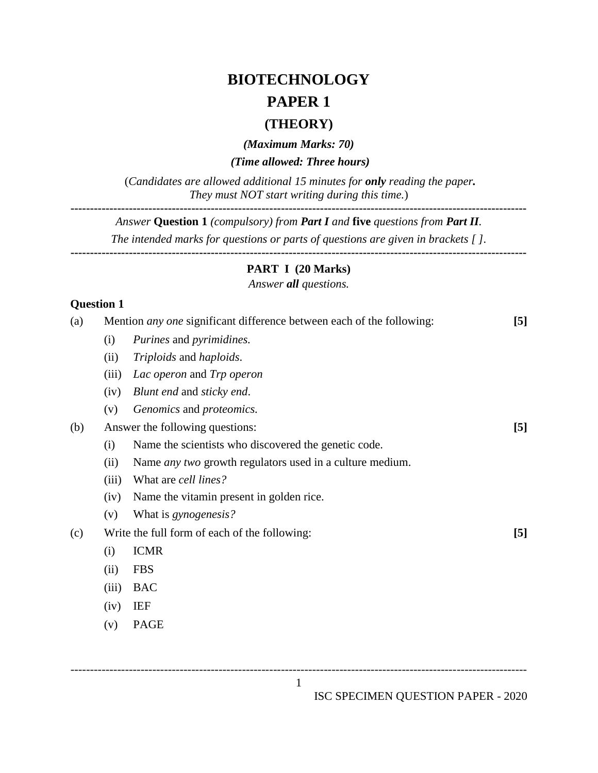# **BIOTECHNOLOGY PAPER 1**

### **(THEORY)**

*(Maximum Marks: 70) (Time allowed: Three hours)* 

(*Candidates are allowed additional 15 minutes for only reading the paper. They must NOT start writing during this time.*)

*Answer* **Question 1** *(compulsory) from Part I and* **five** *questions from Part II.*

**---------------------------------------------------------------------------------------------------------------------**

*The intended marks for questions or parts of questions are given in brackets [ ].* 

**--------------------------------------------------------------------------------------------------------------------- PART I (20 Marks)**

*Answer all questions.*

#### **Question 1**

| (a) | Mention <i>any one</i> significant difference between each of the following: |                                                                 | $\left[5\right]$ |
|-----|------------------------------------------------------------------------------|-----------------------------------------------------------------|------------------|
|     | (i)                                                                          | Purines and pyrimidines.                                        |                  |
|     | (ii)                                                                         | <i>Triploids</i> and <i>haploids</i> .                          |                  |
|     | (iii)                                                                        | Lac operon and Trp operon                                       |                  |
|     | (iv)                                                                         | Blunt end and sticky end.                                       |                  |
|     | (v)                                                                          | Genomics and proteomics.                                        |                  |
| (b) | Answer the following questions:                                              |                                                                 | $[5]$            |
|     | (i)                                                                          | Name the scientists who discovered the genetic code.            |                  |
|     | (ii)                                                                         | Name <i>any two</i> growth regulators used in a culture medium. |                  |
|     | (iii)                                                                        | What are <i>cell lines?</i>                                     |                  |
|     | (iv)                                                                         | Name the vitamin present in golden rice.                        |                  |
|     | (v)                                                                          | What is <i>gynogenesis?</i>                                     |                  |
| (c) | Write the full form of each of the following:                                |                                                                 | $\left[5\right]$ |
|     | (i)                                                                          | <b>ICMR</b>                                                     |                  |
|     | (ii)                                                                         | <b>FBS</b>                                                      |                  |
|     | (iii)                                                                        | <b>BAC</b>                                                      |                  |
|     | (iv)                                                                         | <b>IEF</b>                                                      |                  |
|     | (v)                                                                          | <b>PAGE</b>                                                     |                  |
|     |                                                                              |                                                                 |                  |
|     |                                                                              |                                                                 |                  |

--------------------------------------------------------------------------------------------------------------------- 1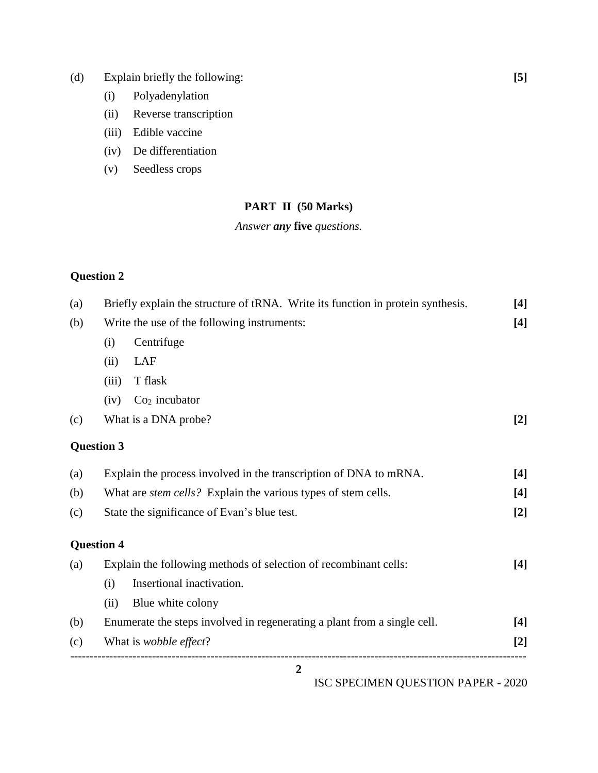- (d) Explain briefly the following: **[5]**
	- (i) Polyadenylation
	- (ii) Reverse transcription
	- (iii) Edible vaccine
	- (iv) De differentiation
	- (v) Seedless crops

#### **PART II (50 Marks)**

#### *Answer any* **five** *questions.*

## **Question 2**

| (a) |                                                                       | Briefly explain the structure of tRNA. Write its function in protein synthesis. | $[4]$             |  |  |
|-----|-----------------------------------------------------------------------|---------------------------------------------------------------------------------|-------------------|--|--|
| (b) | Write the use of the following instruments:<br>$[4]$                  |                                                                                 |                   |  |  |
|     | (i)                                                                   | Centrifuge                                                                      |                   |  |  |
|     | (ii)                                                                  | <b>LAF</b>                                                                      |                   |  |  |
|     | (iii)                                                                 | T flask                                                                         |                   |  |  |
|     | (iv)                                                                  | $Co2$ incubator                                                                 |                   |  |  |
| (c) |                                                                       | What is a DNA probe?                                                            | $[2]$             |  |  |
|     | <b>Question 3</b>                                                     |                                                                                 |                   |  |  |
| (a) |                                                                       | Explain the process involved in the transcription of DNA to mRNA.               | [4]               |  |  |
| (b) | What are <i>stem cells</i> ? Explain the various types of stem cells. |                                                                                 |                   |  |  |
| (c) |                                                                       | State the significance of Evan's blue test.                                     | $[2]$             |  |  |
|     | <b>Question 4</b>                                                     |                                                                                 |                   |  |  |
| (a) |                                                                       | Explain the following methods of selection of recombinant cells:                | $[4]$             |  |  |
|     | (i)                                                                   | Insertional inactivation.                                                       |                   |  |  |
|     | (ii)                                                                  | Blue white colony                                                               |                   |  |  |
| (b) |                                                                       | Enumerate the steps involved in regenerating a plant from a single cell.        | $[4]$             |  |  |
| (c) |                                                                       | What is <i>wobble effect</i> ?                                                  | $\lceil 2 \rceil$ |  |  |
|     |                                                                       | $\overline{2}$                                                                  |                   |  |  |
|     | ISC SPECIMEN QUESTION PAPER - 2020                                    |                                                                                 |                   |  |  |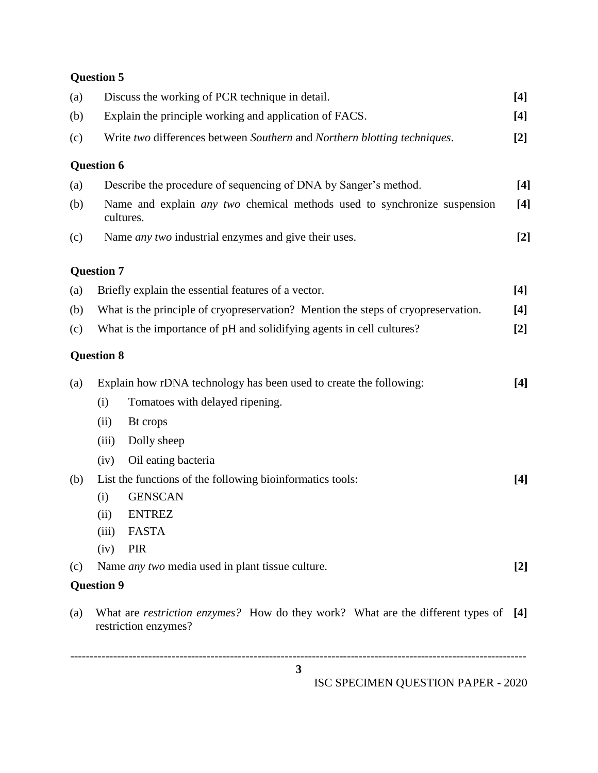# **Question 5**

|     | 3                                                                                                                   |       |  |  |  |  |  |  |
|-----|---------------------------------------------------------------------------------------------------------------------|-------|--|--|--|--|--|--|
| (a) | What are <i>restriction enzymes</i> ? How do they work? What are the different types of [4]<br>restriction enzymes? |       |  |  |  |  |  |  |
|     | <b>Question 9</b>                                                                                                   |       |  |  |  |  |  |  |
| (c) | Name <i>any</i> two media used in plant tissue culture.                                                             |       |  |  |  |  |  |  |
|     | PIR<br>(iv)                                                                                                         |       |  |  |  |  |  |  |
|     | FASTA<br>(iii)                                                                                                      |       |  |  |  |  |  |  |
|     | <b>ENTREZ</b><br>(ii)                                                                                               |       |  |  |  |  |  |  |
|     | List the functions of the following bioinformatics tools:<br><b>GENSCAN</b><br>(i)                                  | $[4]$ |  |  |  |  |  |  |
| (b) | Oil eating bacteria<br>(iv)                                                                                         |       |  |  |  |  |  |  |
|     | Dolly sheep<br>(iii)                                                                                                |       |  |  |  |  |  |  |
|     | Bt crops<br>(ii)                                                                                                    |       |  |  |  |  |  |  |
|     | Tomatoes with delayed ripening.<br>(i)                                                                              |       |  |  |  |  |  |  |
| (a) | Explain how rDNA technology has been used to create the following:                                                  | $[4]$ |  |  |  |  |  |  |
|     | <b>Question 8</b>                                                                                                   |       |  |  |  |  |  |  |
|     |                                                                                                                     | $[2]$ |  |  |  |  |  |  |
| (c) | What is the importance of pH and solidifying agents in cell cultures?                                               |       |  |  |  |  |  |  |
| (b) | What is the principle of cryopreservation? Mention the steps of cryopreservation.<br>$[4]$                          |       |  |  |  |  |  |  |
| (a) | Briefly explain the essential features of a vector.                                                                 | $[4]$ |  |  |  |  |  |  |
|     | <b>Question 7</b>                                                                                                   |       |  |  |  |  |  |  |
| (c) | Name <i>any two</i> industrial enzymes and give their uses.<br>$[2]$                                                |       |  |  |  |  |  |  |
|     | cultures.                                                                                                           |       |  |  |  |  |  |  |
| (b) | Name and explain <i>any two</i> chemical methods used to synchronize suspension<br>$[4]$                            |       |  |  |  |  |  |  |
| (a) | Describe the procedure of sequencing of DNA by Sanger's method.                                                     | $[4]$ |  |  |  |  |  |  |
|     | <b>Question 6</b>                                                                                                   |       |  |  |  |  |  |  |
| (c) | Write two differences between Southern and Northern blotting techniques.                                            | $[2]$ |  |  |  |  |  |  |
| (b) | Explain the principle working and application of FACS.<br>$[4]$                                                     |       |  |  |  |  |  |  |
| (a) | Discuss the working of PCR technique in detail.<br>$[4]$                                                            |       |  |  |  |  |  |  |